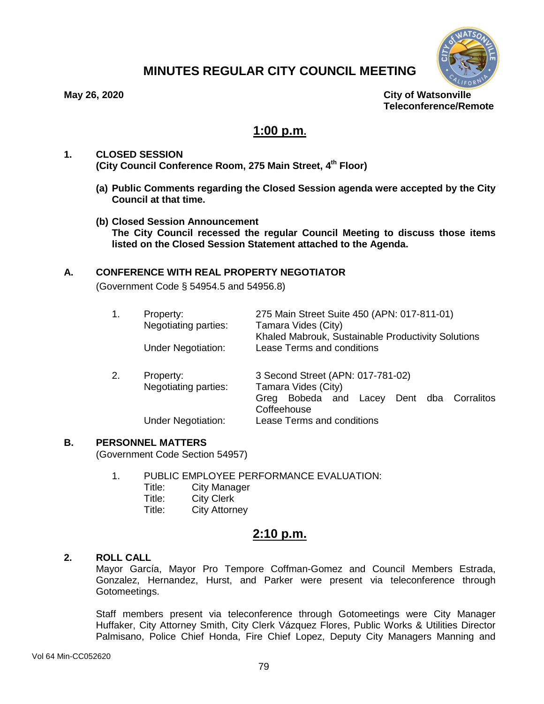

# **MINUTES REGULAR CITY COUNCIL MEETING**

**May 26, 2020 City of Watsonville Teleconference/Remote**

# **1:00 p.m.**

## **1. CLOSED SESSION (City Council Conference Room, 275 Main Street, 4th Floor)**

- **(a) Public Comments regarding the Closed Session agenda were accepted by the City Council at that time.**
- **(b) Closed Session Announcement The City Council recessed the regular Council Meeting to discuss those items listed on the Closed Session Statement attached to the Agenda.**

## **A. CONFERENCE WITH REAL PROPERTY NEGOTIATOR**

(Government Code § 54954.5 and 54956.8)

| 1. | Property:<br>Negotiating parties:<br><b>Under Negotiation:</b> | 275 Main Street Suite 450 (APN: 017-811-01)<br>Tamara Vides (City)<br>Khaled Mabrouk, Sustainable Productivity Solutions<br><b>Lease Terms and conditions</b> |
|----|----------------------------------------------------------------|---------------------------------------------------------------------------------------------------------------------------------------------------------------|
| 2. | Property:<br>Negotiating parties:                              | 3 Second Street (APN: 017-781-02)<br>Tamara Vides (City)<br>Lacey Dent dba Corralitos<br>Greg Bobeda and<br>Coffeehouse                                       |

Under Negotiation: Lease Terms and conditions

## **B. PERSONNEL MATTERS**

(Government Code Section 54957)

- 1. PUBLIC EMPLOYEE PERFORMANCE EVALUATION:
	- Title: City Manager<br>Title: City Clerk
	- City Clerk
	- Title: City Attorney

# **2:10 p.m.**

## **2. ROLL CALL**

Mayor García, Mayor Pro Tempore Coffman-Gomez and Council Members Estrada, Gonzalez, Hernandez, Hurst, and Parker were present via teleconference through Gotomeetings.

Staff members present via teleconference through Gotomeetings were City Manager Huffaker, City Attorney Smith, City Clerk Vázquez Flores, Public Works & Utilities Director Palmisano, Police Chief Honda, Fire Chief Lopez, Deputy City Managers Manning and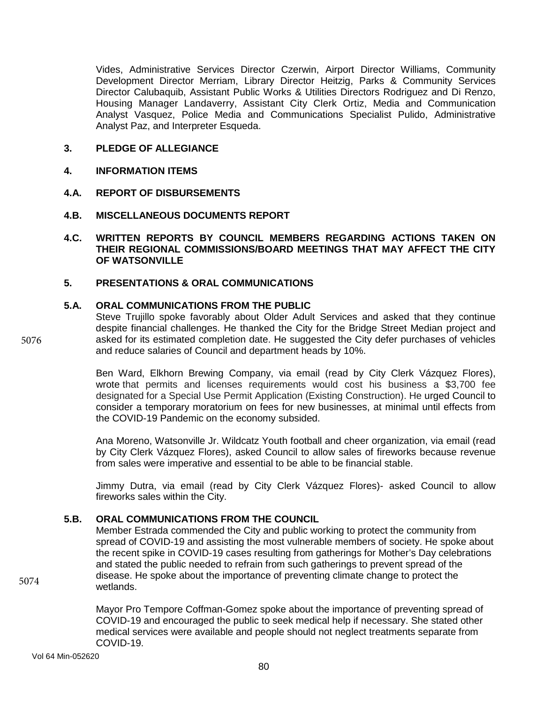Vides, Administrative Services Director Czerwin, Airport Director Williams, Community Development Director Merriam, Library Director Heitzig, Parks & Community Services Director Calubaquib, Assistant Public Works & Utilities Directors Rodriguez and Di Renzo, Housing Manager Landaverry, Assistant City Clerk Ortiz, Media and Communication Analyst Vasquez, Police Media and Communications Specialist Pulido, Administrative Analyst Paz, and Interpreter Esqueda.

## **3. PLEDGE OF ALLEGIANCE**

## **4. INFORMATION ITEMS**

## **4.A. REPORT OF DISBURSEMENTS**

## **4.B. MISCELLANEOUS DOCUMENTS REPORT**

## **4.C. WRITTEN REPORTS BY COUNCIL MEMBERS REGARDING ACTIONS TAKEN ON THEIR REGIONAL COMMISSIONS/BOARD MEETINGS THAT MAY AFFECT THE CITY OF WATSONVILLE**

## **5. PRESENTATIONS & ORAL COMMUNICATIONS**

## **5.A. ORAL COMMUNICATIONS FROM THE PUBLIC**

Steve Trujillo spoke favorably about Older Adult Services and asked that they continue despite financial challenges. He thanked the City for the Bridge Street Median project and asked for its estimated completion date. He suggested the City defer purchases of vehicles and reduce salaries of Council and department heads by 10%.

Ben Ward, Elkhorn Brewing Company, via email (read by City Clerk Vázquez Flores), wrote that permits and licenses requirements would cost his business a \$3,700 fee designated for a Special Use Permit Application (Existing Construction). He urged Council to consider a temporary moratorium on fees for new businesses, at minimal until effects from the COVID-19 Pandemic on the economy subsided.

Ana Moreno, Watsonville Jr. Wildcatz Youth football and cheer organization, via email (read by City Clerk Vázquez Flores), asked Council to allow sales of fireworks because revenue from sales were imperative and essential to be able to be financial stable.

Jimmy Dutra, via email (read by City Clerk Vázquez Flores)- asked Council to allow fireworks sales within the City.

## **5.B. ORAL COMMUNICATIONS FROM THE COUNCIL**

Member Estrada commended the City and public working to protect the community from spread of COVID-19 and assisting the most vulnerable members of society. He spoke about the recent spike in COVID-19 cases resulting from gatherings for Mother's Day celebrations and stated the public needed to refrain from such gatherings to prevent spread of the disease. He spoke about the importance of preventing climate change to protect the wetlands.

Mayor Pro Tempore Coffman-Gomez spoke about the importance of preventing spread of COVID-19 and encouraged the public to seek medical help if necessary. She stated other medical services were available and people should not neglect treatments separate from COVID-19.

5076

5074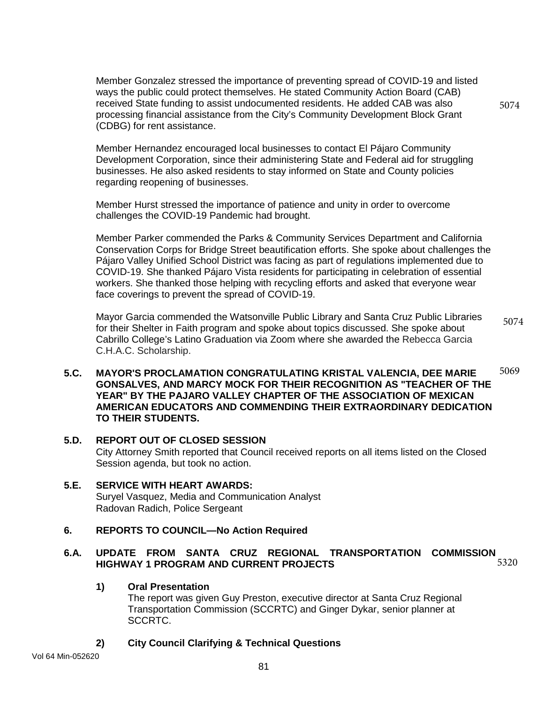Member Gonzalez stressed the importance of preventing spread of COVID-19 and listed ways the public could protect themselves. He stated Community Action Board (CAB) received State funding to assist undocumented residents. He added CAB was also processing financial assistance from the City's Community Development Block Grant (CDBG) for rent assistance.

5074

Member Hernandez encouraged local businesses to contact El Pájaro Community Development Corporation, since their administering State and Federal aid for struggling businesses. He also asked residents to stay informed on State and County policies regarding reopening of businesses.

Member Hurst stressed the importance of patience and unity in order to overcome challenges the COVID-19 Pandemic had brought.

Member Parker commended the Parks & Community Services Department and California Conservation Corps for Bridge Street beautification efforts. She spoke about challenges the Pájaro Valley Unified School District was facing as part of regulations implemented due to COVID-19. She thanked Pájaro Vista residents for participating in celebration of essential workers. She thanked those helping with recycling efforts and asked that everyone wear face coverings to prevent the spread of COVID-19.

Mayor Garcia commended the Watsonville Public Library and Santa Cruz Public Libraries for their Shelter in Faith program and spoke about topics discussed. She spoke about Cabrillo College's Latino Graduation via Zoom where she awarded the Rebecca Garcia C.H.A.C. Scholarship. 5074

#### **5.C. MAYOR'S PROCLAMATION CONGRATULATING KRISTAL VALENCIA, DEE MARIE GONSALVES, AND MARCY MOCK FOR THEIR RECOGNITION AS "TEACHER OF THE YEAR" BY THE PAJARO VALLEY CHAPTER OF THE ASSOCIATION OF MEXICAN AMERICAN EDUCATORS AND COMMENDING THEIR EXTRAORDINARY DEDICATION TO THEIR STUDENTS.** 5069

- **5.D. REPORT OUT OF CLOSED SESSION** City Attorney Smith reported that Council received reports on all items listed on the Closed Session agenda, but took no action.
- **5.E. SERVICE WITH HEART AWARDS:** Suryel Vasquez, Media and Communication Analyst Radovan Radich, Police Sergeant

### **6. REPORTS TO COUNCIL—No Action Required**

#### **6.A. UPDATE FROM SANTA CRUZ REGIONAL TRANSPORTATION COMMISSION HIGHWAY 1 PROGRAM AND CURRENT PROJECTS** 5320

## **1) Oral Presentation**

The report was given Guy Preston, executive director at Santa Cruz Regional Transportation Commission (SCCRTC) and Ginger Dykar, senior planner at SCCRTC.

**2) City Council Clarifying & Technical Questions**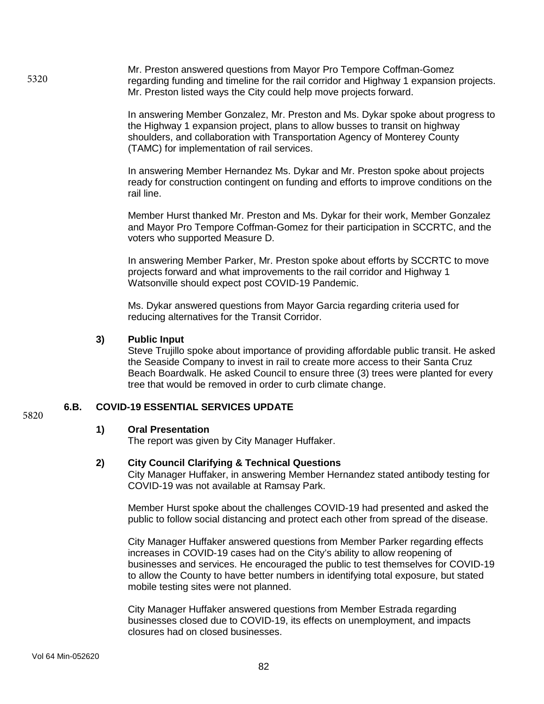Mr. Preston answered questions from Mayor Pro Tempore Coffman-Gomez regarding funding and timeline for the rail corridor and Highway 1 expansion projects. Mr. Preston listed ways the City could help move projects forward. 5320

> In answering Member Gonzalez, Mr. Preston and Ms. Dykar spoke about progress to the Highway 1 expansion project, plans to allow busses to transit on highway shoulders, and collaboration with Transportation Agency of Monterey County (TAMC) for implementation of rail services.

> In answering Member Hernandez Ms. Dykar and Mr. Preston spoke about projects ready for construction contingent on funding and efforts to improve conditions on the rail line.

> Member Hurst thanked Mr. Preston and Ms. Dykar for their work, Member Gonzalez and Mayor Pro Tempore Coffman-Gomez for their participation in SCCRTC, and the voters who supported Measure D.

> In answering Member Parker, Mr. Preston spoke about efforts by SCCRTC to move projects forward and what improvements to the rail corridor and Highway 1 Watsonville should expect post COVID-19 Pandemic.

Ms. Dykar answered questions from Mayor Garcia regarding criteria used for reducing alternatives for the Transit Corridor.

#### **3) Public Input**

Steve Trujillo spoke about importance of providing affordable public transit. He asked the Seaside Company to invest in rail to create more access to their Santa Cruz Beach Boardwalk. He asked Council to ensure three (3) trees were planted for every tree that would be removed in order to curb climate change.

## **6.B. COVID-19 ESSENTIAL SERVICES UPDATE**

#### **1) Oral Presentation**

The report was given by City Manager Huffaker.

#### **2) City Council Clarifying & Technical Questions**

City Manager Huffaker, in answering Member Hernandez stated antibody testing for COVID-19 was not available at Ramsay Park.

Member Hurst spoke about the challenges COVID-19 had presented and asked the public to follow social distancing and protect each other from spread of the disease.

City Manager Huffaker answered questions from Member Parker regarding effects increases in COVID-19 cases had on the City's ability to allow reopening of businesses and services. He encouraged the public to test themselves for COVID-19 to allow the County to have better numbers in identifying total exposure, but stated mobile testing sites were not planned.

City Manager Huffaker answered questions from Member Estrada regarding businesses closed due to COVID-19, its effects on unemployment, and impacts closures had on closed businesses.

5820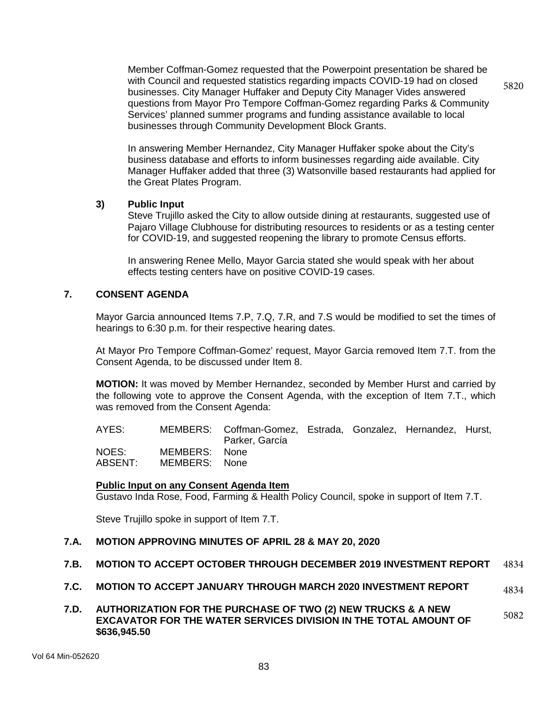Member Coffman-Gomez requested that the Powerpoint presentation be shared be with Council and requested statistics regarding impacts COVID-19 had on closed businesses. City Manager Huffaker and Deputy City Manager Vides answered questions from Mayor Pro Tempore Coffman-Gomez regarding Parks & Community Services' planned summer programs and funding assistance available to local businesses through Community Development Block Grants. 5820

In answering Member Hernandez, City Manager Huffaker spoke about the City's business database and efforts to inform businesses regarding aide available. City Manager Huffaker added that three (3) Watsonville based restaurants had applied for the Great Plates Program.

#### **3) Public Input**

Steve Trujillo asked the City to allow outside dining at restaurants, suggested use of Pajaro Village Clubhouse for distributing resources to residents or as a testing center for COVID-19, and suggested reopening the library to promote Census efforts.

In answering Renee Mello, Mayor Garcia stated she would speak with her about effects testing centers have on positive COVID-19 cases.

## **7. CONSENT AGENDA**

Mayor Garcia announced Items 7.P, 7.Q, 7.R, and 7.S would be modified to set the times of hearings to 6:30 p.m. for their respective hearing dates.

At Mayor Pro Tempore Coffman-Gomez' request, Mayor Garcia removed Item 7.T. from the Consent Agenda, to be discussed under Item 8.

**MOTION:** It was moved by Member Hernandez, seconded by Member Hurst and carried by the following vote to approve the Consent Agenda, with the exception of Item 7.T., which was removed from the Consent Agenda:

AYES: MEMBERS: Coffman-Gomez, Estrada, Gonzalez, Hernandez, Hurst, Parker, García NOES: MEMBERS: None ABSENT: MEMBERS: None

### **Public Input on any Consent Agenda Item**

Gustavo Inda Rose, Food, Farming & Health Policy Council, spoke in support of Item 7.T.

Steve Trujillo spoke in support of Item 7.T.

### **7.A. MOTION APPROVING MINUTES OF APRIL 28 & MAY 20, 2020**

#### **7.B. MOTION TO ACCEPT OCTOBER THROUGH DECEMBER 2019 INVESTMENT REPORT** 4834

**7.C. MOTION TO ACCEPT JANUARY THROUGH MARCH 2020 INVESTMENT REPORT** 4834

#### **7.D. AUTHORIZATION FOR THE PURCHASE OF TWO (2) NEW TRUCKS & A NEW EXCAVATOR FOR THE WATER SERVICES DIVISION IN THE TOTAL AMOUNT OF \$636,945.50** 5082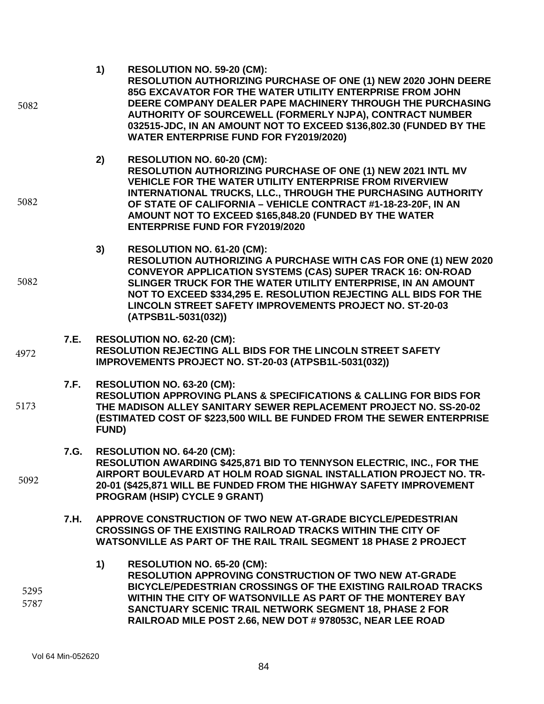| 5082         |      | 1)<br><b>RESOLUTION NO. 59-20 (CM):</b><br>RESOLUTION AUTHORIZING PURCHASE OF ONE (1) NEW 2020 JOHN DEERE<br>85G EXCAVATOR FOR THE WATER UTILITY ENTERPRISE FROM JOHN<br>DEERE COMPANY DEALER PAPE MACHINERY THROUGH THE PURCHASING<br>AUTHORITY OF SOURCEWELL (FORMERLY NJPA), CONTRACT NUMBER<br>032515-JDC, IN AN AMOUNT NOT TO EXCEED \$136,802.30 (FUNDED BY THE<br><b>WATER ENTERPRISE FUND FOR FY2019/2020)</b> |  |
|--------------|------|------------------------------------------------------------------------------------------------------------------------------------------------------------------------------------------------------------------------------------------------------------------------------------------------------------------------------------------------------------------------------------------------------------------------|--|
| 5082         |      | RESOLUTION NO. 60-20 (CM):<br>2)<br>RESOLUTION AUTHORIZING PURCHASE OF ONE (1) NEW 2021 INTL MV<br><b>VEHICLE FOR THE WATER UTILITY ENTERPRISE FROM RIVERVIEW</b><br>INTERNATIONAL TRUCKS, LLC., THROUGH THE PURCHASING AUTHORITY<br>OF STATE OF CALIFORNIA - VEHICLE CONTRACT #1-18-23-20F, IN AN<br>AMOUNT NOT TO EXCEED \$165,848.20 (FUNDED BY THE WATER<br><b>ENTERPRISE FUND FOR FY2019/2020</b>                 |  |
| 5082         |      | 3)<br>RESOLUTION NO. 61-20 (CM):<br>RESOLUTION AUTHORIZING A PURCHASE WITH CAS FOR ONE (1) NEW 2020<br><b>CONVEYOR APPLICATION SYSTEMS (CAS) SUPER TRACK 16: ON-ROAD</b><br>SLINGER TRUCK FOR THE WATER UTILITY ENTERPRISE, IN AN AMOUNT<br>NOT TO EXCEED \$334,295 E. RESOLUTION REJECTING ALL BIDS FOR THE<br><b>LINCOLN STREET SAFETY IMPROVEMENTS PROJECT NO. ST-20-03</b><br>(ATPSB1L-5031(032))                  |  |
| 4972         | 7.E. | <b>RESOLUTION NO. 62-20 (CM):</b><br>RESOLUTION REJECTING ALL BIDS FOR THE LINCOLN STREET SAFETY<br>IMPROVEMENTS PROJECT NO. ST-20-03 (ATPSB1L-5031(032))                                                                                                                                                                                                                                                              |  |
| 5173         | 7.F. | RESOLUTION NO. 63-20 (CM):<br><b>RESOLUTION APPROVING PLANS &amp; SPECIFICATIONS &amp; CALLING FOR BIDS FOR</b><br>THE MADISON ALLEY SANITARY SEWER REPLACEMENT PROJECT NO. SS-20-02<br>(ESTIMATED COST OF \$223,500 WILL BE FUNDED FROM THE SEWER ENTERPRISE<br>FUND)                                                                                                                                                 |  |
| 5092         | 7.G. | <b>RESOLUTION NO. 64-20 (CM):</b><br>RESOLUTION AWARDING \$425,871 BID TO TENNYSON ELECTRIC, INC., FOR THE<br>AIRPORT BOULEVARD AT HOLM ROAD SIGNAL INSTALLATION PROJECT NO. TR-<br>20-01 (\$425,871 WILL BE FUNDED FROM THE HIGHWAY SAFETY IMPROVEMENT<br>PROGRAM (HSIP) CYCLE 9 GRANT)                                                                                                                               |  |
|              | 7.H. | APPROVE CONSTRUCTION OF TWO NEW AT-GRADE BICYCLE/PEDESTRIAN<br><b>CROSSINGS OF THE EXISTING RAILROAD TRACKS WITHIN THE CITY OF</b><br>WATSONVILLE AS PART OF THE RAIL TRAIL SEGMENT 18 PHASE 2 PROJECT                                                                                                                                                                                                                 |  |
| 5295<br>5787 |      | 1)<br><b>RESOLUTION NO. 65-20 (CM):</b><br><b>RESOLUTION APPROVING CONSTRUCTION OF TWO NEW AT-GRADE</b><br>BICYCLE/PEDESTRIAN CROSSINGS OF THE EXISTING RAILROAD TRACKS<br>WITHIN THE CITY OF WATSONVILLE AS PART OF THE MONTEREY BAY<br>SANCTUARY SCENIC TRAIL NETWORK SEGMENT 18, PHASE 2 FOR<br>RAILROAD MILE POST 2.66, NEW DOT # 978053C, NEAR LEE ROAD                                                           |  |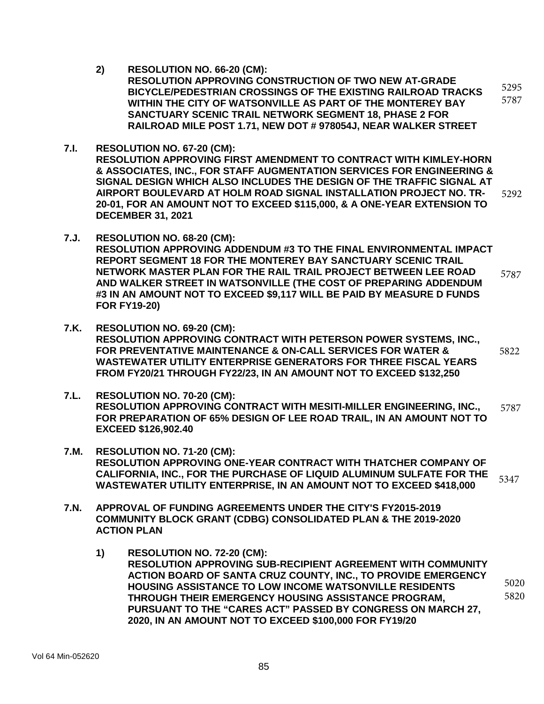**2) RESOLUTION NO. 66-20 (CM):**

**RESOLUTION APPROVING CONSTRUCTION OF TWO NEW AT-GRADE BICYCLE/PEDESTRIAN CROSSINGS OF THE EXISTING RAILROAD TRACKS WITHIN THE CITY OF WATSONVILLE AS PART OF THE MONTEREY BAY SANCTUARY SCENIC TRAIL NETWORK SEGMENT 18, PHASE 2 FOR RAILROAD MILE POST 1.71, NEW DOT # 978054J, NEAR WALKER STREET** 5295 5787

- **7.I. RESOLUTION NO. 67-20 (CM): RESOLUTION APPROVING FIRST AMENDMENT TO CONTRACT WITH KIMLEY-HORN & ASSOCIATES, INC., FOR STAFF AUGMENTATION SERVICES FOR ENGINEERING & SIGNAL DESIGN WHICH ALSO INCLUDES THE DESIGN OF THE TRAFFIC SIGNAL AT AIRPORT BOULEVARD AT HOLM ROAD SIGNAL INSTALLATION PROJECT NO. TR-20-01, FOR AN AMOUNT NOT TO EXCEED \$115,000, & A ONE-YEAR EXTENSION TO DECEMBER 31, 2021** 5292
- **7.J. RESOLUTION NO. 68-20 (CM): RESOLUTION APPROVING ADDENDUM #3 TO THE FINAL ENVIRONMENTAL IMPACT REPORT SEGMENT 18 FOR THE MONTEREY BAY SANCTUARY SCENIC TRAIL NETWORK MASTER PLAN FOR THE RAIL TRAIL PROJECT BETWEEN LEE ROAD AND WALKER STREET IN WATSONVILLE (THE COST OF PREPARING ADDENDUM #3 IN AN AMOUNT NOT TO EXCEED \$9,117 WILL BE PAID BY MEASURE D FUNDS FOR FY19-20)**  5787
- **7.K. RESOLUTION NO. 69-20 (CM): RESOLUTION APPROVING CONTRACT WITH PETERSON POWER SYSTEMS, INC., FOR PREVENTATIVE MAINTENANCE & ON-CALL SERVICES FOR WATER & WASTEWATER UTILITY ENTERPRISE GENERATORS FOR THREE FISCAL YEARS FROM FY20/21 THROUGH FY22/23, IN AN AMOUNT NOT TO EXCEED \$132,250**  5822
- **7.L. RESOLUTION NO. 70-20 (CM): RESOLUTION APPROVING CONTRACT WITH MESITI-MILLER ENGINEERING, INC., FOR PREPARATION OF 65% DESIGN OF LEE ROAD TRAIL, IN AN AMOUNT NOT TO EXCEED \$126,902.40** 5787
- **7.M. RESOLUTION NO. 71-20 (CM): RESOLUTION APPROVING ONE-YEAR CONTRACT WITH THATCHER COMPANY OF CALIFORNIA, INC., FOR THE PURCHASE OF LIQUID ALUMINUM SULFATE FOR THE WASTEWATER UTILITY ENTERPRISE, IN AN AMOUNT NOT TO EXCEED \$418,000**  5347
- **7.N. APPROVAL OF FUNDING AGREEMENTS UNDER THE CITY'S FY2015-2019 COMMUNITY BLOCK GRANT (CDBG) CONSOLIDATED PLAN & THE 2019-2020 ACTION PLAN**
	- **1) RESOLUTION NO. 72-20 (CM): RESOLUTION APPROVING SUB-RECIPIENT AGREEMENT WITH COMMUNITY ACTION BOARD OF SANTA CRUZ COUNTY, INC., TO PROVIDE EMERGENCY HOUSING ASSISTANCE TO LOW INCOME WATSONVILLE RESIDENTS THROUGH THEIR EMERGENCY HOUSING ASSISTANCE PROGRAM, PURSUANT TO THE "CARES ACT" PASSED BY CONGRESS ON MARCH 27, 2020, IN AN AMOUNT NOT TO EXCEED \$100,000 FOR FY19/20** 5020 5820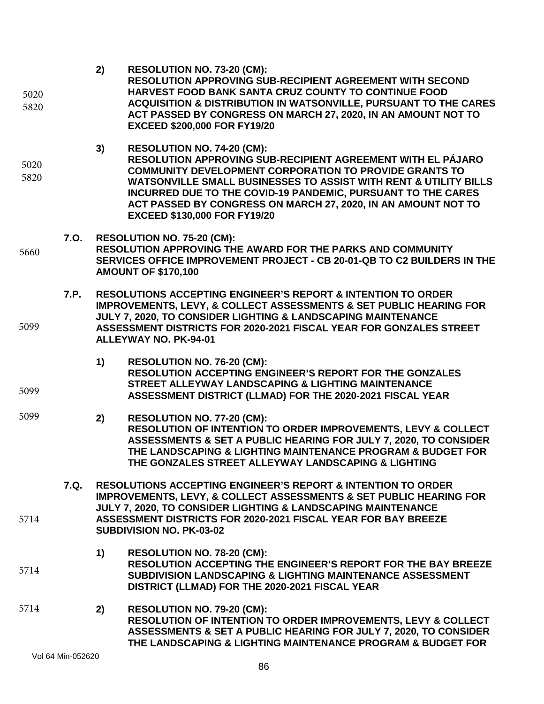| 5020<br>5820 |      | 2)                                                                                                                                                                                                                                                                                                                               | RESOLUTION NO. 73-20 (CM):<br>RESOLUTION APPROVING SUB-RECIPIENT AGREEMENT WITH SECOND<br>HARVEST FOOD BANK SANTA CRUZ COUNTY TO CONTINUE FOOD<br><b>ACQUISITION &amp; DISTRIBUTION IN WATSONVILLE, PURSUANT TO THE CARES</b><br>ACT PASSED BY CONGRESS ON MARCH 27, 2020, IN AN AMOUNT NOT TO<br><b>EXCEED \$200,000 FOR FY19/20</b>                                                                             |
|--------------|------|----------------------------------------------------------------------------------------------------------------------------------------------------------------------------------------------------------------------------------------------------------------------------------------------------------------------------------|-------------------------------------------------------------------------------------------------------------------------------------------------------------------------------------------------------------------------------------------------------------------------------------------------------------------------------------------------------------------------------------------------------------------|
| 5020<br>5820 |      | 3)                                                                                                                                                                                                                                                                                                                               | RESOLUTION NO. 74-20 (CM):<br>RESOLUTION APPROVING SUB-RECIPIENT AGREEMENT WITH EL PÁJARO<br><b>COMMUNITY DEVELOPMENT CORPORATION TO PROVIDE GRANTS TO</b><br><b>WATSONVILLE SMALL BUSINESSES TO ASSIST WITH RENT &amp; UTILITY BILLS</b><br>INCURRED DUE TO THE COVID-19 PANDEMIC, PURSUANT TO THE CARES<br>ACT PASSED BY CONGRESS ON MARCH 27, 2020, IN AN AMOUNT NOT TO<br><b>EXCEED \$130,000 FOR FY19/20</b> |
| 5660         | 7.O. | <b>RESOLUTION NO. 75-20 (CM):</b><br>RESOLUTION APPROVING THE AWARD FOR THE PARKS AND COMMUNITY<br>SERVICES OFFICE IMPROVEMENT PROJECT - CB 20-01-QB TO C2 BUILDERS IN THE<br><b>AMOUNT OF \$170,100</b>                                                                                                                         |                                                                                                                                                                                                                                                                                                                                                                                                                   |
| 5099         | 7.P. |                                                                                                                                                                                                                                                                                                                                  | <b>RESOLUTIONS ACCEPTING ENGINEER'S REPORT &amp; INTENTION TO ORDER</b><br><b>IMPROVEMENTS, LEVY, &amp; COLLECT ASSESSMENTS &amp; SET PUBLIC HEARING FOR</b><br>JULY 7, 2020, TO CONSIDER LIGHTING & LANDSCAPING MAINTENANCE<br>ASSESSMENT DISTRICTS FOR 2020-2021 FISCAL YEAR FOR GONZALES STREET<br><b>ALLEYWAY NO. PK-94-01</b>                                                                                |
| 5099         |      | 1)                                                                                                                                                                                                                                                                                                                               | RESOLUTION NO. 76-20 (CM):<br><b>RESOLUTION ACCEPTING ENGINEER'S REPORT FOR THE GONZALES</b><br>STREET ALLEYWAY LANDSCAPING & LIGHTING MAINTENANCE<br>ASSESSMENT DISTRICT (LLMAD) FOR THE 2020-2021 FISCAL YEAR                                                                                                                                                                                                   |
| 5099         |      | 2)                                                                                                                                                                                                                                                                                                                               | RESOLUTION NO. 77-20 (CM):<br>RESOLUTION OF INTENTION TO ORDER IMPROVEMENTS, LEVY & COLLECT<br>ASSESSMENTS & SET A PUBLIC HEARING FOR JULY 7, 2020, TO CONSIDER<br>THE LANDSCAPING & LIGHTING MAINTENANCE PROGRAM & BUDGET FOR<br>THE GONZALES STREET ALLEYWAY LANDSCAPING & LIGHTING                                                                                                                             |
| 5714         | 7.Q. | <b>RESOLUTIONS ACCEPTING ENGINEER'S REPORT &amp; INTENTION TO ORDER</b><br><b>IMPROVEMENTS, LEVY, &amp; COLLECT ASSESSMENTS &amp; SET PUBLIC HEARING FOR</b><br>JULY 7, 2020, TO CONSIDER LIGHTING & LANDSCAPING MAINTENANCE<br>ASSESSMENT DISTRICTS FOR 2020-2021 FISCAL YEAR FOR BAY BREEZE<br><b>SUBDIVISION NO. PK-03-02</b> |                                                                                                                                                                                                                                                                                                                                                                                                                   |
| 5714         |      | 1)                                                                                                                                                                                                                                                                                                                               | RESOLUTION NO. 78-20 (CM):<br>RESOLUTION ACCEPTING THE ENGINEER'S REPORT FOR THE BAY BREEZE<br>SUBDIVISION LANDSCAPING & LIGHTING MAINTENANCE ASSESSMENT<br>DISTRICT (LLMAD) FOR THE 2020-2021 FISCAL YEAR                                                                                                                                                                                                        |
| 5714         |      | 2)                                                                                                                                                                                                                                                                                                                               | RESOLUTION NO. 79-20 (CM):<br><b>RESOLUTION OF INTENTION TO ORDER IMPROVEMENTS, LEVY &amp; COLLECT</b><br>ASSESSMENTS & SET A PUBLIC HEARING FOR JULY 7, 2020, TO CONSIDER<br>THE LANDSCAPING & LIGHTING MAINTENANCE PROGRAM & BUDGET FOR                                                                                                                                                                         |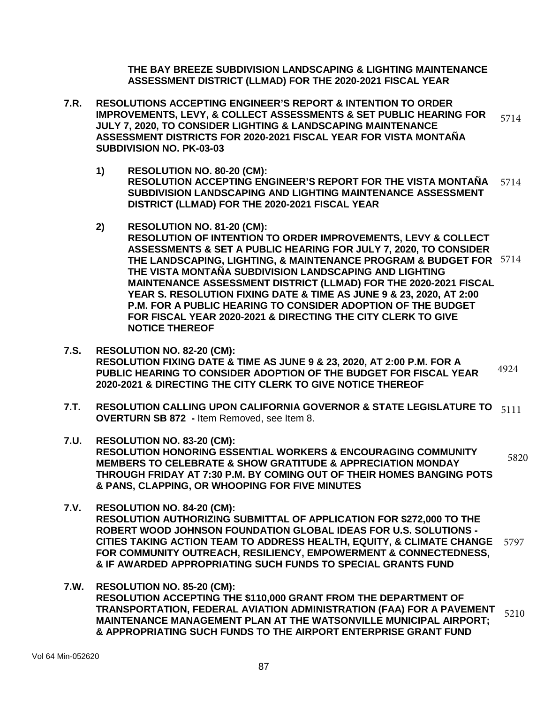**THE BAY BREEZE SUBDIVISION LANDSCAPING & LIGHTING MAINTENANCE ASSESSMENT DISTRICT (LLMAD) FOR THE 2020-2021 FISCAL YEAR**

- **7.R. RESOLUTIONS ACCEPTING ENGINEER'S REPORT & INTENTION TO ORDER IMPROVEMENTS, LEVY, & COLLECT ASSESSMENTS & SET PUBLIC HEARING FOR JULY 7, 2020, TO CONSIDER LIGHTING & LANDSCAPING MAINTENANCE ASSESSMENT DISTRICTS FOR 2020-2021 FISCAL YEAR FOR VISTA MONTAÑA SUBDIVISION NO. PK-03-03**  5714
	- **1) RESOLUTION NO. 80-20 (CM): RESOLUTION ACCEPTING ENGINEER'S REPORT FOR THE VISTA MONTAÑA SUBDIVISION LANDSCAPING AND LIGHTING MAINTENANCE ASSESSMENT DISTRICT (LLMAD) FOR THE 2020-2021 FISCAL YEAR** 5714
	- **2) RESOLUTION NO. 81-20 (CM):**
		- **RESOLUTION OF INTENTION TO ORDER IMPROVEMENTS, LEVY & COLLECT ASSESSMENTS & SET A PUBLIC HEARING FOR JULY 7, 2020, TO CONSIDER THE LANDSCAPING, LIGHTING, & MAINTENANCE PROGRAM & BUDGET FOR** 5714 **THE VISTA MONTAÑA SUBDIVISION LANDSCAPING AND LIGHTING MAINTENANCE ASSESSMENT DISTRICT (LLMAD) FOR THE 2020-2021 FISCAL YEAR S. RESOLUTION FIXING DATE & TIME AS JUNE 9 & 23, 2020, AT 2:00 P.M. FOR A PUBLIC HEARING TO CONSIDER ADOPTION OF THE BUDGET FOR FISCAL YEAR 2020-2021 & DIRECTING THE CITY CLERK TO GIVE NOTICE THEREOF**
- **7.S. RESOLUTION NO. 82-20 (CM): RESOLUTION FIXING DATE & TIME AS JUNE 9 & 23, 2020, AT 2:00 P.M. FOR A PUBLIC HEARING TO CONSIDER ADOPTION OF THE BUDGET FOR FISCAL YEAR 2020-2021 & DIRECTING THE CITY CLERK TO GIVE NOTICE THEREOF** 4924
- **7.T. RESOLUTION CALLING UPON CALIFORNIA GOVERNOR & STATE LEGISLATURE TO** 5111 **OVERTURN SB 872 -** Item Removed, see Item 8.
- **7.U. RESOLUTION NO. 83-20 (CM): RESOLUTION HONORING ESSENTIAL WORKERS & ENCOURAGING COMMUNITY MEMBERS TO CELEBRATE & SHOW GRATITUDE & APPRECIATION MONDAY THROUGH FRIDAY AT 7:30 P.M. BY COMING OUT OF THEIR HOMES BANGING POTS & PANS, CLAPPING, OR WHOOPING FOR FIVE MINUTES** 5820
- **7.V. RESOLUTION NO. 84-20 (CM): RESOLUTION AUTHORIZING SUBMITTAL OF APPLICATION FOR \$272,000 TO THE ROBERT WOOD JOHNSON FOUNDATION GLOBAL IDEAS FOR U.S. SOLUTIONS - CITIES TAKING ACTION TEAM TO ADDRESS HEALTH, EQUITY, & CLIMATE CHANGE**  5797 **FOR COMMUNITY OUTREACH, RESILIENCY, EMPOWERMENT & CONNECTEDNESS, & IF AWARDED APPROPRIATING SUCH FUNDS TO SPECIAL GRANTS FUND**
- **7.W. RESOLUTION NO. 85-20 (CM): RESOLUTION ACCEPTING THE \$110,000 GRANT FROM THE DEPARTMENT OF TRANSPORTATION, FEDERAL AVIATION ADMINISTRATION (FAA) FOR A PAVEMENT MAINTENANCE MANAGEMENT PLAN AT THE WATSONVILLE MUNICIPAL AIRPORT; & APPROPRIATING SUCH FUNDS TO THE AIRPORT ENTERPRISE GRANT FUND**  5210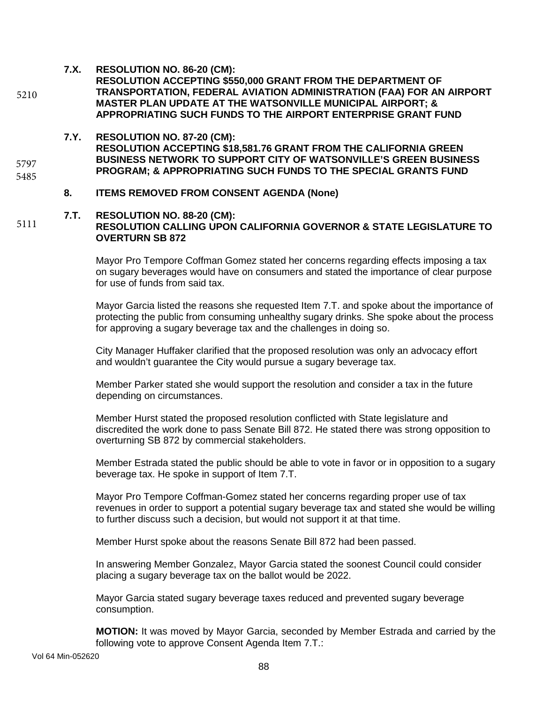**7.X. RESOLUTION NO. 86-20 (CM):**

5210

5797 5485

- **RESOLUTION ACCEPTING \$550,000 GRANT FROM THE DEPARTMENT OF TRANSPORTATION, FEDERAL AVIATION ADMINISTRATION (FAA) FOR AN AIRPORT MASTER PLAN UPDATE AT THE WATSONVILLE MUNICIPAL AIRPORT; & APPROPRIATING SUCH FUNDS TO THE AIRPORT ENTERPRISE GRANT FUND**
- **7.Y. RESOLUTION NO. 87-20 (CM): RESOLUTION ACCEPTING \$18,581.76 GRANT FROM THE CALIFORNIA GREEN BUSINESS NETWORK TO SUPPORT CITY OF WATSONVILLE'S GREEN BUSINESS PROGRAM; & APPROPRIATING SUCH FUNDS TO THE SPECIAL GRANTS FUND**
	- **8. ITEMS REMOVED FROM CONSENT AGENDA (None)**

#### **7.T. RESOLUTION NO. 88-20 (CM): RESOLUTION CALLING UPON CALIFORNIA GOVERNOR & STATE LEGISLATURE TO OVERTURN SB 872**  5111

Mayor Pro Tempore Coffman Gomez stated her concerns regarding effects imposing a tax on sugary beverages would have on consumers and stated the importance of clear purpose for use of funds from said tax.

Mayor Garcia listed the reasons she requested Item 7.T. and spoke about the importance of protecting the public from consuming unhealthy sugary drinks. She spoke about the process for approving a sugary beverage tax and the challenges in doing so.

City Manager Huffaker clarified that the proposed resolution was only an advocacy effort and wouldn't guarantee the City would pursue a sugary beverage tax.

Member Parker stated she would support the resolution and consider a tax in the future depending on circumstances.

Member Hurst stated the proposed resolution conflicted with State legislature and discredited the work done to pass Senate Bill 872. He stated there was strong opposition to overturning SB 872 by commercial stakeholders.

Member Estrada stated the public should be able to vote in favor or in opposition to a sugary beverage tax. He spoke in support of Item 7.T.

Mayor Pro Tempore Coffman-Gomez stated her concerns regarding proper use of tax revenues in order to support a potential sugary beverage tax and stated she would be willing to further discuss such a decision, but would not support it at that time.

Member Hurst spoke about the reasons Senate Bill 872 had been passed.

In answering Member Gonzalez, Mayor Garcia stated the soonest Council could consider placing a sugary beverage tax on the ballot would be 2022.

Mayor Garcia stated sugary beverage taxes reduced and prevented sugary beverage consumption.

**MOTION:** It was moved by Mayor Garcia, seconded by Member Estrada and carried by the following vote to approve Consent Agenda Item 7.T.: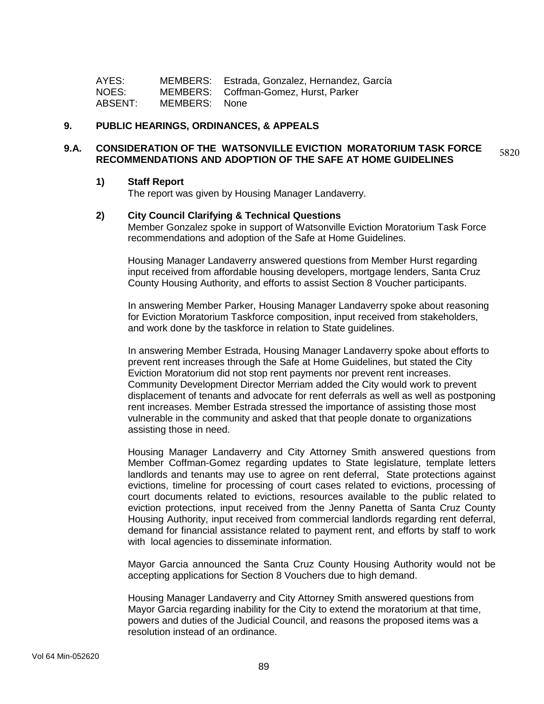| AYES:   |               | MEMBERS: Estrada, Gonzalez, Hernandez, García |
|---------|---------------|-----------------------------------------------|
| NOES:   |               | MEMBERS: Coffman-Gomez, Hurst, Parker         |
| ABSENT: | MEMBERS: None |                                               |

#### **9. PUBLIC HEARINGS, ORDINANCES, & APPEALS**

#### **9.A. CONSIDERATION OF THE WATSONVILLE EVICTION MORATORIUM TASK FORCE RECOMMENDATIONS AND ADOPTION OF THE SAFE AT HOME GUIDELINES** 5820

#### **1) Staff Report**

The report was given by Housing Manager Landaverry.

### **2) City Council Clarifying & Technical Questions**

Member Gonzalez spoke in support of Watsonville Eviction Moratorium Task Force recommendations and adoption of the Safe at Home Guidelines.

Housing Manager Landaverry answered questions from Member Hurst regarding input received from affordable housing developers, mortgage lenders, Santa Cruz County Housing Authority, and efforts to assist Section 8 Voucher participants.

In answering Member Parker, Housing Manager Landaverry spoke about reasoning for Eviction Moratorium Taskforce composition, input received from stakeholders, and work done by the taskforce in relation to State guidelines.

In answering Member Estrada, Housing Manager Landaverry spoke about efforts to prevent rent increases through the Safe at Home Guidelines, but stated the City Eviction Moratorium did not stop rent payments nor prevent rent increases. Community Development Director Merriam added the City would work to prevent displacement of tenants and advocate for rent deferrals as well as well as postponing rent increases. Member Estrada stressed the importance of assisting those most vulnerable in the community and asked that that people donate to organizations assisting those in need.

Housing Manager Landaverry and City Attorney Smith answered questions from Member Coffman-Gomez regarding updates to State legislature, template letters landlords and tenants may use to agree on rent deferral, State protections against evictions, timeline for processing of court cases related to evictions, processing of court documents related to evictions, resources available to the public related to eviction protections, input received from the Jenny Panetta of Santa Cruz County Housing Authority, input received from commercial landlords regarding rent deferral, demand for financial assistance related to payment rent, and efforts by staff to work with local agencies to disseminate information.

Mayor Garcia announced the Santa Cruz County Housing Authority would not be accepting applications for Section 8 Vouchers due to high demand.

Housing Manager Landaverry and City Attorney Smith answered questions from Mayor Garcia regarding inability for the City to extend the moratorium at that time, powers and duties of the Judicial Council, and reasons the proposed items was a resolution instead of an ordinance.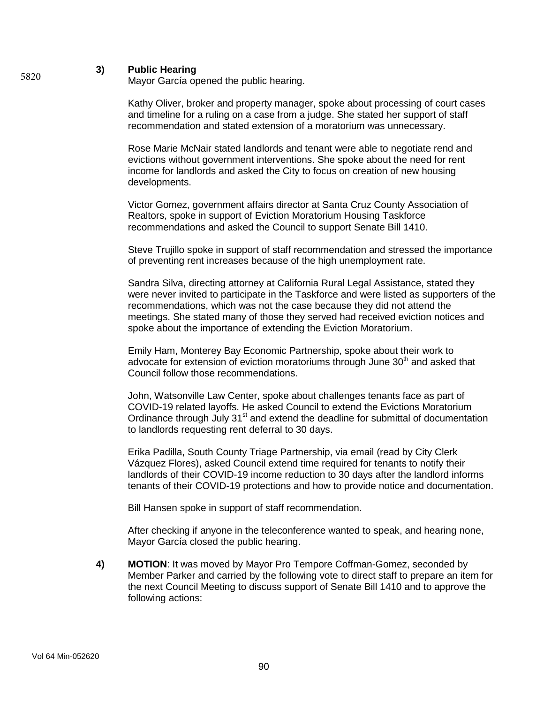### **3) Public Hearing**

Mayor García opened the public hearing.

Kathy Oliver, broker and property manager, spoke about processing of court cases and timeline for a ruling on a case from a judge. She stated her support of staff recommendation and stated extension of a moratorium was unnecessary.

Rose Marie McNair stated landlords and tenant were able to negotiate rend and evictions without government interventions. She spoke about the need for rent income for landlords and asked the City to focus on creation of new housing developments.

Victor Gomez, government affairs director at Santa Cruz County Association of Realtors, spoke in support of Eviction Moratorium Housing Taskforce recommendations and asked the Council to support Senate Bill 1410.

Steve Trujillo spoke in support of staff recommendation and stressed the importance of preventing rent increases because of the high unemployment rate.

Sandra Silva, directing attorney at California Rural Legal Assistance, stated they were never invited to participate in the Taskforce and were listed as supporters of the recommendations, which was not the case because they did not attend the meetings. She stated many of those they served had received eviction notices and spoke about the importance of extending the Eviction Moratorium.

Emily Ham, Monterey Bay Economic Partnership, spoke about their work to advocate for extension of eviction moratoriums through June 30<sup>th</sup> and asked that Council follow those recommendations.

John, Watsonville Law Center, spoke about challenges tenants face as part of COVID-19 related layoffs. He asked Council to extend the Evictions Moratorium Ordinance through July 31<sup>st</sup> and extend the deadline for submittal of documentation to landlords requesting rent deferral to 30 days.

Erika Padilla, South County Triage Partnership, via email (read by City Clerk Vázquez Flores), asked Council extend time required for tenants to notify their landlords of their COVID-19 income reduction to 30 days after the landlord informs tenants of their COVID-19 protections and how to provide notice and documentation.

Bill Hansen spoke in support of staff recommendation.

After checking if anyone in the teleconference wanted to speak, and hearing none, Mayor García closed the public hearing.

**4) MOTION**: It was moved by Mayor Pro Tempore Coffman-Gomez, seconded by Member Parker and carried by the following vote to direct staff to prepare an item for the next Council Meeting to discuss support of Senate Bill 1410 and to approve the following actions:

5820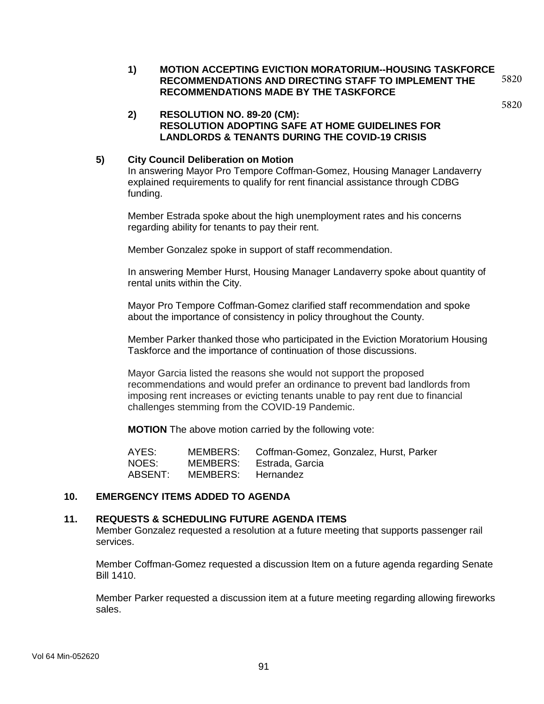**1) MOTION ACCEPTING EVICTION MORATORIUM--HOUSING TASKFORCE RECOMMENDATIONS AND DIRECTING STAFF TO IMPLEMENT THE RECOMMENDATIONS MADE BY THE TASKFORCE** 5820

# 5820

### **2) RESOLUTION NO. 89-20 (CM): RESOLUTION ADOPTING SAFE AT HOME GUIDELINES FOR LANDLORDS & TENANTS DURING THE COVID-19 CRISIS**

### **5) City Council Deliberation on Motion**

In answering Mayor Pro Tempore Coffman-Gomez, Housing Manager Landaverry explained requirements to qualify for rent financial assistance through CDBG funding.

Member Estrada spoke about the high unemployment rates and his concerns regarding ability for tenants to pay their rent.

Member Gonzalez spoke in support of staff recommendation.

In answering Member Hurst, Housing Manager Landaverry spoke about quantity of rental units within the City.

Mayor Pro Tempore Coffman-Gomez clarified staff recommendation and spoke about the importance of consistency in policy throughout the County.

Member Parker thanked those who participated in the Eviction Moratorium Housing Taskforce and the importance of continuation of those discussions.

Mayor Garcia listed the reasons she would not support the proposed recommendations and would prefer an ordinance to prevent bad landlords from imposing rent increases or evicting tenants unable to pay rent due to financial challenges stemming from the COVID-19 Pandemic.

**MOTION** The above motion carried by the following vote:

AYES: MEMBERS: Coffman-Gomez, Gonzalez, Hurst, Parker NOES: MEMBERS: Estrada, Garcia ABSENT: MEMBERS: Hernandez

## **10. EMERGENCY ITEMS ADDED TO AGENDA**

### **11. REQUESTS & SCHEDULING FUTURE AGENDA ITEMS**

Member Gonzalez requested a resolution at a future meeting that supports passenger rail services.

Member Coffman-Gomez requested a discussion Item on a future agenda regarding Senate Bill 1410.

Member Parker requested a discussion item at a future meeting regarding allowing fireworks sales.